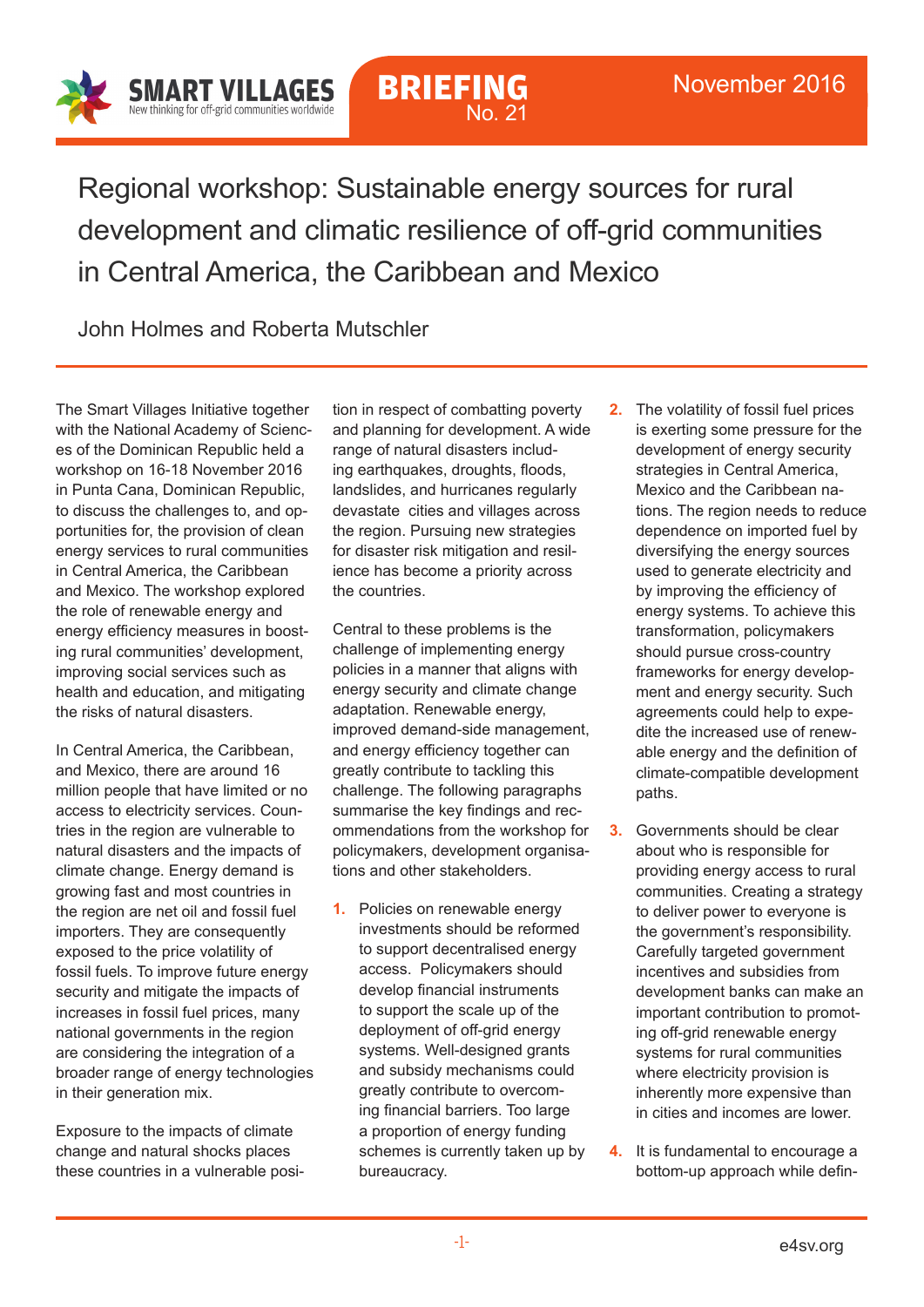

## **BRIEFING** No. 21

Regional workshop: Sustainable energy sources for rural development and climatic resilience of off-grid communities in Central America, the Caribbean and Mexico

John Holmes and Roberta Mutschler

The Smart Villages Initiative together with the National Academy of Sciences of the Dominican Republic held a workshop on 16-18 November 2016 in Punta Cana, Dominican Republic, to discuss the challenges to, and opportunities for, the provision of clean energy services to rural communities in Central America, the Caribbean and Mexico. The workshop explored the role of renewable energy and energy efficiency measures in boosting rural communities' development, improving social services such as health and education, and mitigating the risks of natural disasters.

In Central America, the Caribbean, and Mexico, there are around 16 million people that have limited or no access to electricity services. Countries in the region are vulnerable to natural disasters and the impacts of climate change. Energy demand is growing fast and most countries in the region are net oil and fossil fuel importers. They are consequently exposed to the price volatility of fossil fuels. To improve future energy security and mitigate the impacts of increases in fossil fuel prices, many national governments in the region are considering the integration of a broader range of energy technologies in their generation mix.

Exposure to the impacts of climate change and natural shocks places these countries in a vulnerable position in respect of combatting poverty and planning for development. A wide range of natural disasters including earthquakes, droughts, floods, landslides, and hurricanes regularly devastate cities and villages across the region. Pursuing new strategies for disaster risk mitigation and resilience has become a priority across the countries.

Central to these problems is the challenge of implementing energy policies in a manner that aligns with energy security and climate change adaptation. Renewable energy, improved demand-side management, and energy efficiency together can greatly contribute to tackling this challenge. The following paragraphs summarise the key findings and recommendations from the workshop for policymakers, development organisations and other stakeholders.

- **1.** Policies on renewable energy investments should be reformed to support decentralised energy access. Policymakers should develop financial instruments to support the scale up of the deployment of off-grid energy systems. Well-designed grants and subsidy mechanisms could greatly contribute to overcoming financial barriers. Too large a proportion of energy funding schemes is currently taken up by bureaucracy.
- **2.** The volatility of fossil fuel prices is exerting some pressure for the development of energy security strategies in Central America, Mexico and the Caribbean nations. The region needs to reduce dependence on imported fuel by diversifying the energy sources used to generate electricity and by improving the efficiency of energy systems. To achieve this transformation, policymakers should pursue cross-country frameworks for energy development and energy security. Such agreements could help to expedite the increased use of renewable energy and the definition of climate-compatible development paths.
- **3.** Governments should be clear about who is responsible for providing energy access to rural communities. Creating a strategy to deliver power to everyone is the government's responsibility. Carefully targeted government incentives and subsidies from development banks can make an important contribution to promoting off-grid renewable energy systems for rural communities where electricity provision is inherently more expensive than in cities and incomes are lower.
- **4.** It is fundamental to encourage a bottom-up approach while defin-